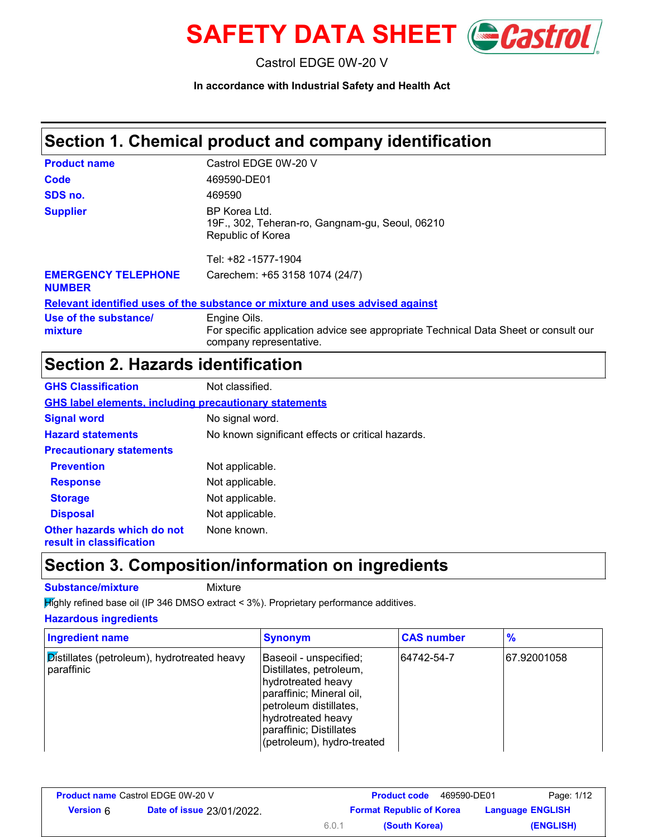

Castrol EDGE 0W-20 V

**In accordance with Industrial Safety and Health Act**

# **Section 1. Chemical product and company identification**

| <b>Product name</b>                         | Castrol EDGE 0W-20 V                                                                                                           |
|---------------------------------------------|--------------------------------------------------------------------------------------------------------------------------------|
| Code                                        | 469590-DE01                                                                                                                    |
| SDS no.                                     | 469590                                                                                                                         |
| <b>Supplier</b>                             | BP Korea Ltd.<br>19F., 302, Teheran-ro, Gangnam-gu, Seoul, 06210<br>Republic of Korea<br>Tel: +82 -1577-1904                   |
|                                             |                                                                                                                                |
| <b>EMERGENCY TELEPHONE</b><br><b>NUMBER</b> | Carechem: +65 3158 1074 (24/7)                                                                                                 |
|                                             | Relevant identified uses of the substance or mixture and uses advised against                                                  |
| Use of the substance/<br>mixture            | Engine Oils.<br>For specific application advice see appropriate Technical Data Sheet or consult our<br>company representative. |

# **Section 2. Hazards identification**

| <b>GHS Classification</b>                                     | Not classified.                                   |
|---------------------------------------------------------------|---------------------------------------------------|
| <b>GHS label elements, including precautionary statements</b> |                                                   |
| <b>Signal word</b>                                            | No signal word.                                   |
| <b>Hazard statements</b>                                      | No known significant effects or critical hazards. |
| <b>Precautionary statements</b>                               |                                                   |
| <b>Prevention</b>                                             | Not applicable.                                   |
| <b>Response</b>                                               | Not applicable.                                   |
| <b>Storage</b>                                                | Not applicable.                                   |
| <b>Disposal</b>                                               | Not applicable.                                   |
| Other hazards which do not<br>result in classification        | None known.                                       |

### **Section 3. Composition/information on ingredients**

**Substance/mixture** Mixture

**Highly refined base oil (IP 346 DMSO extract < 3%). Proprietary performance additives.** 

**Hazardous ingredients**

| <b>Ingredient name</b>                                           | <b>Synonym</b>                                                                                                                                                                                               | <b>CAS number</b> | $\frac{9}{6}$ |
|------------------------------------------------------------------|--------------------------------------------------------------------------------------------------------------------------------------------------------------------------------------------------------------|-------------------|---------------|
| <b>Distillates (petroleum), hydrotreated heavy</b><br>paraffinic | Baseoil - unspecified;<br>Distillates, petroleum,<br>hydrotreated heavy<br>paraffinic; Mineral oil,<br>petroleum distillates,<br>hydrotreated heavy<br>paraffinic; Distillates<br>(petroleum), hydro-treated | 64742-54-7        | 67.92001058   |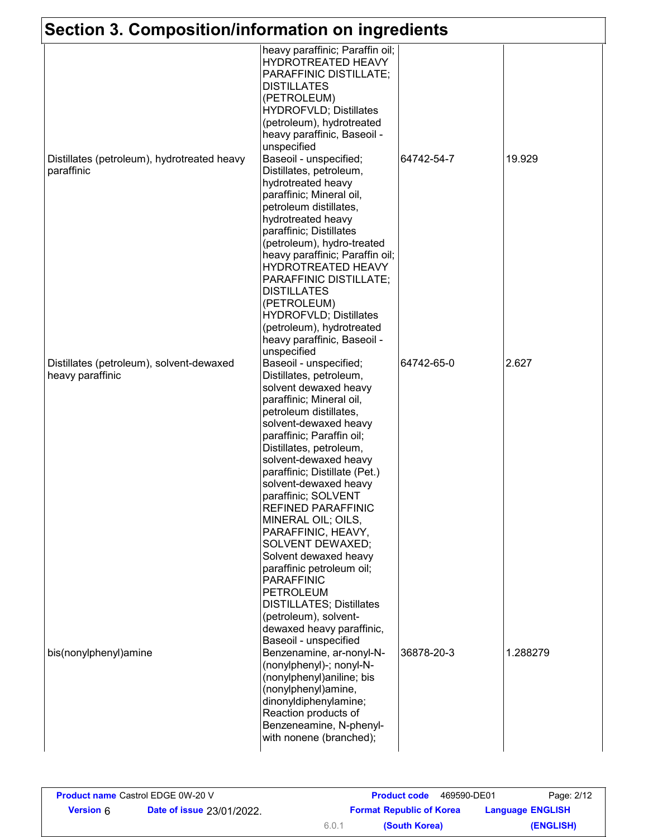| Section 3. Composition/information on ingredients            |                                                                                                                                                                                                                                                                                                                                                                                                                                                                                                                                                                                                                         |            |          |
|--------------------------------------------------------------|-------------------------------------------------------------------------------------------------------------------------------------------------------------------------------------------------------------------------------------------------------------------------------------------------------------------------------------------------------------------------------------------------------------------------------------------------------------------------------------------------------------------------------------------------------------------------------------------------------------------------|------------|----------|
|                                                              | heavy paraffinic; Paraffin oil;<br>HYDROTREATED HEAVY<br>PARAFFINIC DISTILLATE;<br><b>DISTILLATES</b><br>(PETROLEUM)<br><b>HYDROFVLD; Distillates</b><br>(petroleum), hydrotreated<br>heavy paraffinic, Baseoil -                                                                                                                                                                                                                                                                                                                                                                                                       |            |          |
| Distillates (petroleum), hydrotreated heavy<br>paraffinic    | unspecified<br>Baseoil - unspecified;<br>Distillates, petroleum,<br>hydrotreated heavy<br>paraffinic; Mineral oil,<br>petroleum distillates,<br>hydrotreated heavy<br>paraffinic; Distillates<br>(petroleum), hydro-treated<br>heavy paraffinic; Paraffin oil;<br>HYDROTREATED HEAVY<br>PARAFFINIC DISTILLATE;<br><b>DISTILLATES</b><br>(PETROLEUM)<br><b>HYDROFVLD; Distillates</b><br>(petroleum), hydrotreated<br>heavy paraffinic, Baseoil -<br>unspecified                                                                                                                                                         | 64742-54-7 | 19.929   |
| Distillates (petroleum), solvent-dewaxed<br>heavy paraffinic | Baseoil - unspecified;<br>Distillates, petroleum,<br>solvent dewaxed heavy<br>paraffinic; Mineral oil,<br>petroleum distillates,<br>solvent-dewaxed heavy<br>paraffinic; Paraffin oil;<br>Distillates, petroleum,<br>solvent-dewaxed heavy<br>paraffinic; Distillate (Pet.)<br>solvent-dewaxed heavy<br>paraffinic; SOLVENT<br><b>REFINED PARAFFINIC</b><br>MINERAL OIL; OILS,<br>PARAFFINIC, HEAVY,<br><b>SOLVENT DEWAXED;</b><br>Solvent dewaxed heavy<br>paraffinic petroleum oil;<br><b>PARAFFINIC</b><br><b>PETROLEUM</b><br><b>DISTILLATES; Distillates</b><br>(petroleum), solvent-<br>dewaxed heavy paraffinic, | 64742-65-0 | 2.627    |
| bis(nonylphenyl)amine                                        | Baseoil - unspecified<br>Benzenamine, ar-nonyl-N-<br>(nonylphenyl)-; nonyl-N-<br>(nonylphenyl)aniline; bis<br>(nonylphenyl)amine,<br>dinonyldiphenylamine;<br>Reaction products of<br>Benzeneamine, N-phenyl-<br>with nonene (branched);                                                                                                                                                                                                                                                                                                                                                                                | 36878-20-3 | 1.288279 |

| <b>Product name Castrol EDGE 0W-20 V</b> |                                  |                                 | <b>Product code</b><br>469590-DE01 | Page: 2/12              |
|------------------------------------------|----------------------------------|---------------------------------|------------------------------------|-------------------------|
| <b>Version 6</b>                         | <b>Date of issue 23/01/2022.</b> | <b>Format Republic of Korea</b> |                                    | <b>Language ENGLISH</b> |
|                                          |                                  | 6.0.1                           | (South Korea)                      | (ENGLISH)               |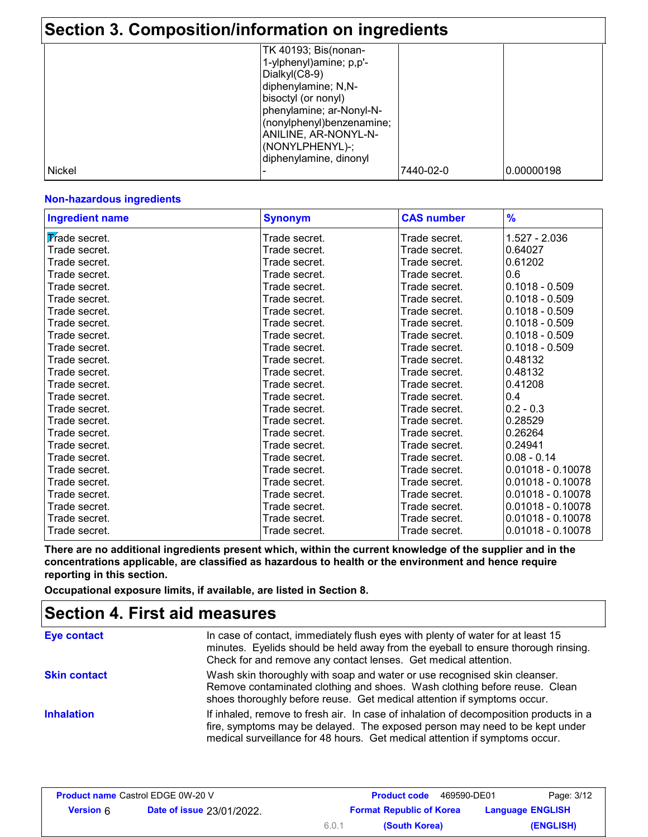### **Section 3. Composition/information on ingredients** TK 40193; Bis(nonan-1-ylphenyl)amine; p,p'- Dialkyl(C8-9)

|        | diphenylamine; N,N-       |           |            |
|--------|---------------------------|-----------|------------|
|        | bisoctyl (or nonyl)       |           |            |
|        | phenylamine; ar-Nonyl-N-  |           |            |
|        | (nonylphenyl)benzenamine; |           |            |
|        | ANILINE, AR-NONYL-N-      |           |            |
|        | (NONYLPHENYL)-;           |           |            |
|        | diphenylamine, dinonyl    |           |            |
| Nickel |                           | 7440-02-0 | 0.00000198 |

#### **Non-hazardous ingredients**

| <b>Ingredient name</b> | <b>Synonym</b> | <b>CAS number</b> | $\frac{9}{6}$       |
|------------------------|----------------|-------------------|---------------------|
| Trade secret.          | Trade secret.  | Trade secret.     | $1.527 - 2.036$     |
| Trade secret.          | Trade secret.  | Trade secret.     | 0.64027             |
| Trade secret.          | Trade secret.  | Trade secret.     | 0.61202             |
| Trade secret.          | Trade secret.  | Trade secret.     | 0.6                 |
| Trade secret.          | Trade secret.  | Trade secret.     | $0.1018 - 0.509$    |
| Trade secret.          | Trade secret.  | Trade secret.     | $0.1018 - 0.509$    |
| Trade secret.          | Trade secret.  | Trade secret.     | $0.1018 - 0.509$    |
| Trade secret.          | Trade secret.  | Trade secret.     | $0.1018 - 0.509$    |
| Trade secret.          | Trade secret.  | Trade secret.     | $0.1018 - 0.509$    |
| Trade secret.          | Trade secret.  | Trade secret.     | $0.1018 - 0.509$    |
| Trade secret.          | Trade secret.  | Trade secret.     | 0.48132             |
| Trade secret.          | Trade secret.  | Trade secret.     | 0.48132             |
| Trade secret.          | Trade secret.  | Trade secret.     | 0.41208             |
| Trade secret.          | Trade secret.  | Trade secret.     | 0.4                 |
| Trade secret.          | Trade secret.  | Trade secret.     | $0.2 - 0.3$         |
| Trade secret.          | Trade secret.  | Trade secret.     | 0.28529             |
| Trade secret.          | Trade secret.  | Trade secret.     | 0.26264             |
| Trade secret.          | Trade secret.  | Trade secret.     | 0.24941             |
| Trade secret.          | Trade secret.  | Trade secret.     | $0.08 - 0.14$       |
| Trade secret.          | Trade secret.  | Trade secret.     | $0.01018 - 0.10078$ |
| Trade secret.          | Trade secret.  | Trade secret.     | $0.01018 - 0.10078$ |
| Trade secret.          | Trade secret.  | Trade secret.     | $0.01018 - 0.10078$ |
| Trade secret.          | Trade secret.  | Trade secret.     | $0.01018 - 0.10078$ |
| Trade secret.          | Trade secret.  | Trade secret.     | $0.01018 - 0.10078$ |
| Trade secret.          | Trade secret.  | Trade secret.     | $0.01018 - 0.10078$ |

**There are no additional ingredients present which, within the current knowledge of the supplier and in the concentrations applicable, are classified as hazardous to health or the environment and hence require reporting in this section.**

**Occupational exposure limits, if available, are listed in Section 8.**

### **Section 4. First aid measures**

| <b>Eye contact</b>  | In case of contact, immediately flush eyes with plenty of water for at least 15<br>minutes. Eyelids should be held away from the eyeball to ensure thorough rinsing.<br>Check for and remove any contact lenses. Get medical attention.             |
|---------------------|-----------------------------------------------------------------------------------------------------------------------------------------------------------------------------------------------------------------------------------------------------|
| <b>Skin contact</b> | Wash skin thoroughly with soap and water or use recognised skin cleanser.<br>Remove contaminated clothing and shoes. Wash clothing before reuse. Clean<br>shoes thoroughly before reuse. Get medical attention if symptoms occur.                   |
| <b>Inhalation</b>   | If inhaled, remove to fresh air. In case of inhalation of decomposition products in a<br>fire, symptoms may be delayed. The exposed person may need to be kept under<br>medical surveillance for 48 hours. Get medical attention if symptoms occur. |

| <b>Product name Castrol EDGE 0W-20 V</b> |                                  |                                                            | 469590-DE01<br><b>Product code</b> | Page: 3/12 |
|------------------------------------------|----------------------------------|------------------------------------------------------------|------------------------------------|------------|
| <b>Version 6</b>                         | <b>Date of issue 23/01/2022.</b> | <b>Format Republic of Korea</b><br><b>Language ENGLISH</b> |                                    |            |
|                                          |                                  | 6.0.1                                                      | (South Korea)                      | (ENGLISH)  |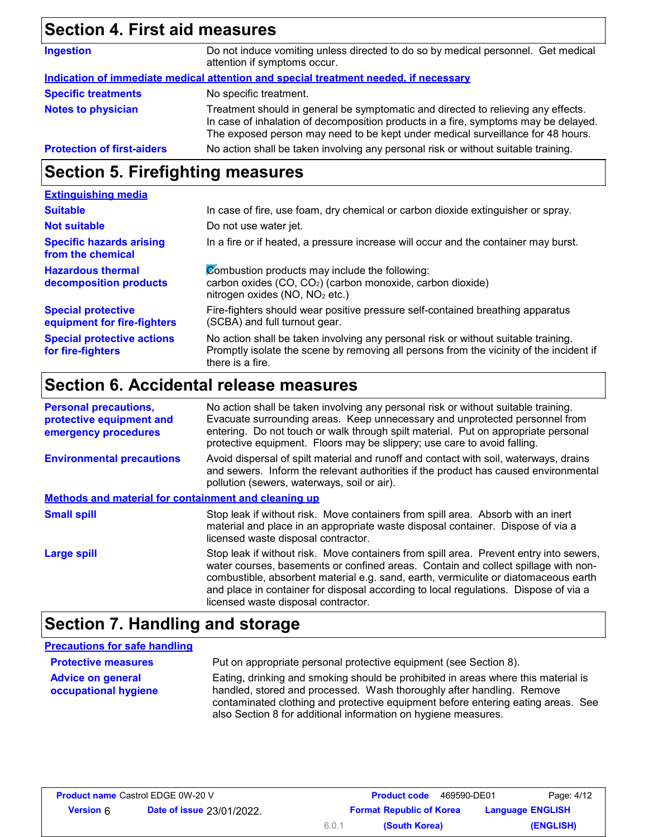# **Section 4. First aid measures**

| <b>Ingestion</b>                  | Do not induce vomiting unless directed to do so by medical personnel. Get medical<br>attention if symptoms occur.                                                                                                                                           |
|-----------------------------------|-------------------------------------------------------------------------------------------------------------------------------------------------------------------------------------------------------------------------------------------------------------|
|                                   | Indication of immediate medical attention and special treatment needed, if necessary                                                                                                                                                                        |
| <b>Specific treatments</b>        | No specific treatment.                                                                                                                                                                                                                                      |
| <b>Notes to physician</b>         | Treatment should in general be symptomatic and directed to relieving any effects.<br>In case of inhalation of decomposition products in a fire, symptoms may be delayed.<br>The exposed person may need to be kept under medical surveillance for 48 hours. |
| <b>Protection of first-aiders</b> | No action shall be taken involving any personal risk or without suitable training.                                                                                                                                                                          |

# **Section 5. Firefighting measures**

| <b>Extinguishing media</b>                               |                                                                                                                                                                                                   |
|----------------------------------------------------------|---------------------------------------------------------------------------------------------------------------------------------------------------------------------------------------------------|
| <b>Suitable</b>                                          | In case of fire, use foam, dry chemical or carbon dioxide extinguisher or spray.                                                                                                                  |
| <b>Not suitable</b>                                      | Do not use water jet.                                                                                                                                                                             |
| <b>Specific hazards arising</b><br>from the chemical     | In a fire or if heated, a pressure increase will occur and the container may burst.                                                                                                               |
| <b>Hazardous thermal</b><br>decomposition products       | Combustion products may include the following:<br>carbon oxides (CO, CO <sub>2</sub> ) (carbon monoxide, carbon dioxide)<br>nitrogen oxides (NO, NO <sub>2</sub> etc.)                            |
| <b>Special protective</b><br>equipment for fire-fighters | Fire-fighters should wear positive pressure self-contained breathing apparatus<br>(SCBA) and full turnout gear.                                                                                   |
| <b>Special protective actions</b><br>for fire-fighters   | No action shall be taken involving any personal risk or without suitable training.<br>Promptly isolate the scene by removing all persons from the vicinity of the incident if<br>there is a fire. |

# **Section 6. Accidental release measures**

| <b>Personal precautions,</b><br>protective equipment and<br>emergency procedures | No action shall be taken involving any personal risk or without suitable training.<br>Evacuate surrounding areas. Keep unnecessary and unprotected personnel from<br>entering. Do not touch or walk through spilt material. Put on appropriate personal<br>protective equipment. Floors may be slippery; use care to avoid falling.                                                                |
|----------------------------------------------------------------------------------|----------------------------------------------------------------------------------------------------------------------------------------------------------------------------------------------------------------------------------------------------------------------------------------------------------------------------------------------------------------------------------------------------|
| <b>Environmental precautions</b>                                                 | Avoid dispersal of spilt material and runoff and contact with soil, waterways, drains<br>and sewers. Inform the relevant authorities if the product has caused environmental<br>pollution (sewers, waterways, soil or air).                                                                                                                                                                        |
| Methods and material for containment and cleaning up                             |                                                                                                                                                                                                                                                                                                                                                                                                    |
| <b>Small spill</b>                                                               | Stop leak if without risk. Move containers from spill area. Absorb with an inert<br>material and place in an appropriate waste disposal container. Dispose of via a<br>licensed waste disposal contractor.                                                                                                                                                                                         |
| <b>Large spill</b>                                                               | Stop leak if without risk. Move containers from spill area. Prevent entry into sewers,<br>water courses, basements or confined areas. Contain and collect spillage with non-<br>combustible, absorbent material e.g. sand, earth, vermiculite or diatomaceous earth<br>and place in container for disposal according to local regulations. Dispose of via a<br>licensed waste disposal contractor. |

# **Section 7. Handling and storage**

| <b>Precautions for safe handling</b>             |                                                                                                                                                                                                                                                                                                                  |
|--------------------------------------------------|------------------------------------------------------------------------------------------------------------------------------------------------------------------------------------------------------------------------------------------------------------------------------------------------------------------|
| <b>Protective measures</b>                       | Put on appropriate personal protective equipment (see Section 8).                                                                                                                                                                                                                                                |
| <b>Advice on general</b><br>occupational hygiene | Eating, drinking and smoking should be prohibited in areas where this material is<br>handled, stored and processed. Wash thoroughly after handling. Remove<br>contaminated clothing and protective equipment before entering eating areas. See<br>also Section 8 for additional information on hygiene measures. |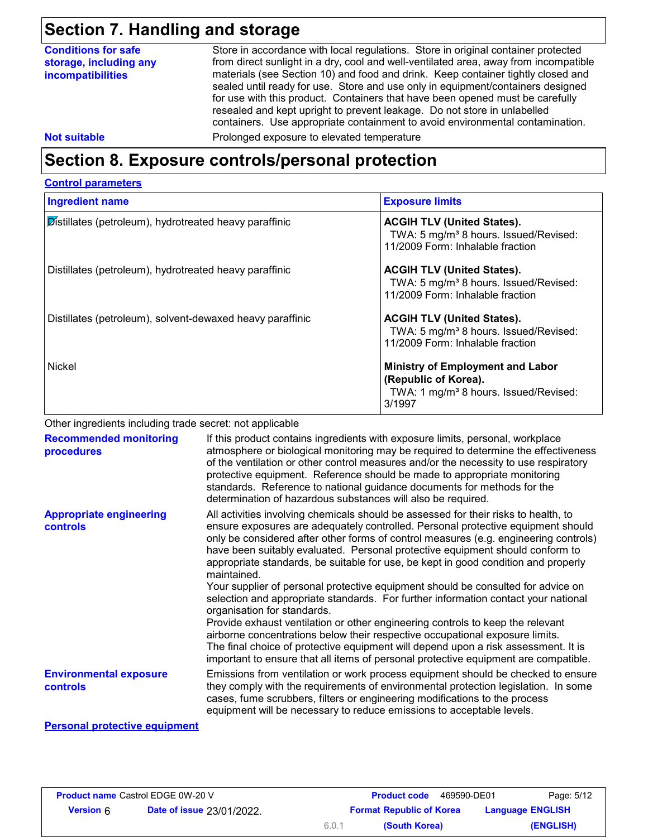# **Section 7. Handling and storage**

### **Section 8. Exposure controls/personal protection**

#### **Control parameters**

| <b>Ingredient name</b>                                        | <b>Exposure limits</b>                                                                                                         |
|---------------------------------------------------------------|--------------------------------------------------------------------------------------------------------------------------------|
| <b>Distillates (petroleum), hydrotreated heavy paraffinic</b> | <b>ACGIH TLV (United States).</b><br>TWA: 5 mg/m <sup>3</sup> 8 hours. Issued/Revised:<br>11/2009 Form: Inhalable fraction     |
| Distillates (petroleum), hydrotreated heavy paraffinic        | <b>ACGIH TLV (United States).</b><br>TWA: 5 mg/m <sup>3</sup> 8 hours. Issued/Revised:<br>11/2009 Form: Inhalable fraction     |
| Distillates (petroleum), solvent-dewaxed heavy paraffinic     | <b>ACGIH TLV (United States).</b><br>TWA: 5 mg/m <sup>3</sup> 8 hours. Issued/Revised:<br>11/2009 Form: Inhalable fraction     |
| Nickel                                                        | <b>Ministry of Employment and Labor</b><br>(Republic of Korea).<br>TWA: 1 mg/m <sup>3</sup> 8 hours. Issued/Revised:<br>3/1997 |

Other ingredients including trade secret: not applicable

| <b>Recommended monitoring</b><br>procedures      | If this product contains ingredients with exposure limits, personal, workplace<br>atmosphere or biological monitoring may be required to determine the effectiveness<br>of the ventilation or other control measures and/or the necessity to use respiratory<br>protective equipment. Reference should be made to appropriate monitoring<br>standards. Reference to national guidance documents for methods for the<br>determination of hazardous substances will also be required.                                                                                                                                                                                                                                                                                                                                                                                                                                                                                                                           |
|--------------------------------------------------|---------------------------------------------------------------------------------------------------------------------------------------------------------------------------------------------------------------------------------------------------------------------------------------------------------------------------------------------------------------------------------------------------------------------------------------------------------------------------------------------------------------------------------------------------------------------------------------------------------------------------------------------------------------------------------------------------------------------------------------------------------------------------------------------------------------------------------------------------------------------------------------------------------------------------------------------------------------------------------------------------------------|
| <b>Appropriate engineering</b><br>controls       | All activities involving chemicals should be assessed for their risks to health, to<br>ensure exposures are adequately controlled. Personal protective equipment should<br>only be considered after other forms of control measures (e.g. engineering controls)<br>have been suitably evaluated. Personal protective equipment should conform to<br>appropriate standards, be suitable for use, be kept in good condition and properly<br>maintained.<br>Your supplier of personal protective equipment should be consulted for advice on<br>selection and appropriate standards. For further information contact your national<br>organisation for standards.<br>Provide exhaust ventilation or other engineering controls to keep the relevant<br>airborne concentrations below their respective occupational exposure limits.<br>The final choice of protective equipment will depend upon a risk assessment. It is<br>important to ensure that all items of personal protective equipment are compatible. |
| <b>Environmental exposure</b><br><b>controls</b> | Emissions from ventilation or work process equipment should be checked to ensure<br>they comply with the requirements of environmental protection legislation. In some<br>cases, fume scrubbers, filters or engineering modifications to the process<br>equipment will be necessary to reduce emissions to acceptable levels.                                                                                                                                                                                                                                                                                                                                                                                                                                                                                                                                                                                                                                                                                 |

#### **Personal protective equipment**

|                  | <b>Product name</b> Castrol EDGE 0W-20 V |
|------------------|------------------------------------------|
| <b>Version 6</b> | <b>Date of issue 23/01/2022.</b>         |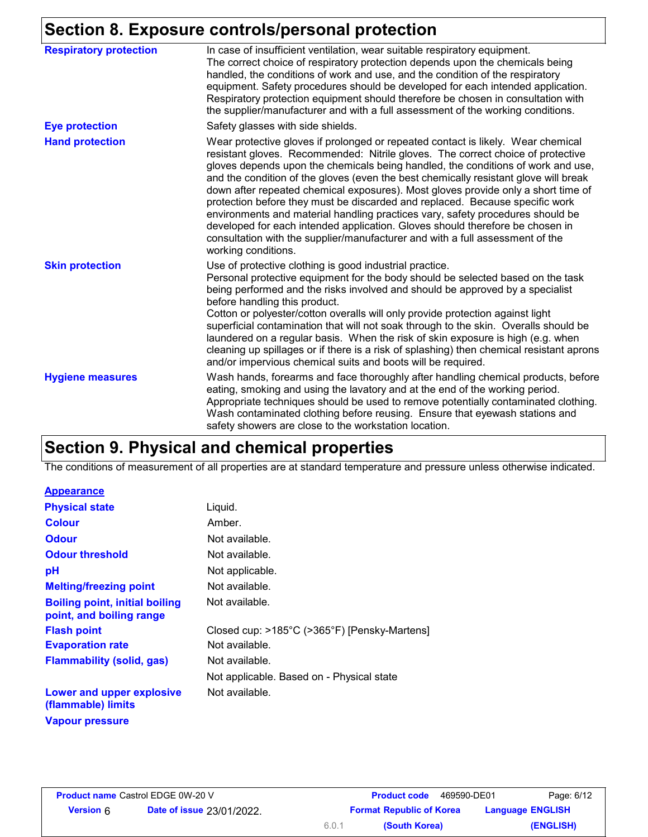### **Section 8. Exposure controls/personal protection**

| <b>Respiratory protection</b> | In case of insufficient ventilation, wear suitable respiratory equipment.<br>The correct choice of respiratory protection depends upon the chemicals being<br>handled, the conditions of work and use, and the condition of the respiratory<br>equipment. Safety procedures should be developed for each intended application.<br>Respiratory protection equipment should therefore be chosen in consultation with<br>the supplier/manufacturer and with a full assessment of the working conditions.                                                                                                                                                                                                                                                                                           |
|-------------------------------|-------------------------------------------------------------------------------------------------------------------------------------------------------------------------------------------------------------------------------------------------------------------------------------------------------------------------------------------------------------------------------------------------------------------------------------------------------------------------------------------------------------------------------------------------------------------------------------------------------------------------------------------------------------------------------------------------------------------------------------------------------------------------------------------------|
| <b>Eye protection</b>         | Safety glasses with side shields.                                                                                                                                                                                                                                                                                                                                                                                                                                                                                                                                                                                                                                                                                                                                                               |
| <b>Hand protection</b>        | Wear protective gloves if prolonged or repeated contact is likely. Wear chemical<br>resistant gloves. Recommended: Nitrile gloves. The correct choice of protective<br>gloves depends upon the chemicals being handled, the conditions of work and use,<br>and the condition of the gloves (even the best chemically resistant glove will break<br>down after repeated chemical exposures). Most gloves provide only a short time of<br>protection before they must be discarded and replaced. Because specific work<br>environments and material handling practices vary, safety procedures should be<br>developed for each intended application. Gloves should therefore be chosen in<br>consultation with the supplier/manufacturer and with a full assessment of the<br>working conditions. |
| <b>Skin protection</b>        | Use of protective clothing is good industrial practice.<br>Personal protective equipment for the body should be selected based on the task<br>being performed and the risks involved and should be approved by a specialist<br>before handling this product.<br>Cotton or polyester/cotton overalls will only provide protection against light<br>superficial contamination that will not soak through to the skin. Overalls should be<br>laundered on a regular basis. When the risk of skin exposure is high (e.g. when<br>cleaning up spillages or if there is a risk of splashing) then chemical resistant aprons<br>and/or impervious chemical suits and boots will be required.                                                                                                           |
| <b>Hygiene measures</b>       | Wash hands, forearms and face thoroughly after handling chemical products, before<br>eating, smoking and using the lavatory and at the end of the working period.<br>Appropriate techniques should be used to remove potentially contaminated clothing.<br>Wash contaminated clothing before reusing. Ensure that eyewash stations and<br>safety showers are close to the workstation location.                                                                                                                                                                                                                                                                                                                                                                                                 |

# **Section 9. Physical and chemical properties**

The conditions of measurement of all properties are at standard temperature and pressure unless otherwise indicated.

#### **Appearance**

| <b>Physical state</b>                                             | Liquid.                                      |
|-------------------------------------------------------------------|----------------------------------------------|
| <b>Colour</b>                                                     | Amber.                                       |
| <b>Odour</b>                                                      | Not available.                               |
| <b>Odour threshold</b>                                            | Not available.                               |
| рH                                                                | Not applicable.                              |
| <b>Melting/freezing point</b>                                     | Not available.                               |
| <b>Boiling point, initial boiling</b><br>point, and boiling range | Not available.                               |
| <b>Flash point</b>                                                | Closed cup: >185°C (>365°F) [Pensky-Martens] |
| <b>Evaporation rate</b>                                           | Not available.                               |
| <b>Flammability (solid, gas)</b>                                  | Not available.                               |
|                                                                   | Not applicable. Based on - Physical state    |
| Lower and upper explosive<br>(flammable) limits                   | Not available.                               |
| <b>Vapour pressure</b>                                            |                                              |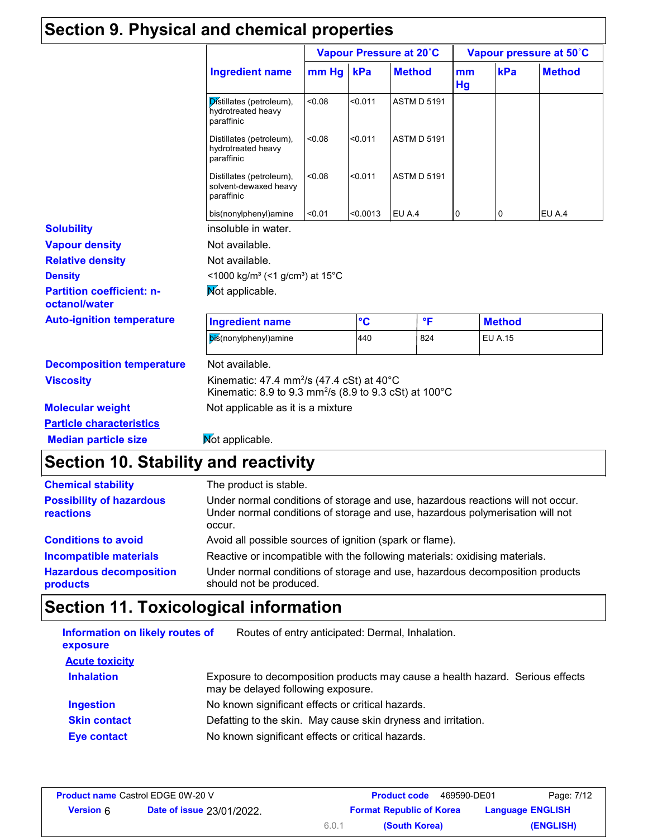# **Section 9. Physical and chemical properties**

|                                                   |                                                                                                                                        | Vapour Pressure at 20°C |          |                    | Vapour pressure at 50°C |                |               |
|---------------------------------------------------|----------------------------------------------------------------------------------------------------------------------------------------|-------------------------|----------|--------------------|-------------------------|----------------|---------------|
|                                                   | <b>Ingredient name</b>                                                                                                                 | mm Hg                   | kPa      | <b>Method</b>      | mm<br>Hg                | kPa            | <b>Method</b> |
|                                                   | Distillates (petroleum),<br>hydrotreated heavy<br>paraffinic                                                                           | 80.08                   | < 0.011  | <b>ASTM D 5191</b> |                         |                |               |
|                                                   | Distillates (petroleum),<br>hydrotreated heavy<br>paraffinic                                                                           | < 0.08                  | < 0.011  | <b>ASTM D 5191</b> |                         |                |               |
|                                                   | Distillates (petroleum),<br>solvent-dewaxed heavy<br>paraffinic                                                                        | < 0.08                  | < 0.011  | <b>ASTM D 5191</b> |                         |                |               |
|                                                   | bis(nonylphenyl)amine                                                                                                                  | < 0.01                  | < 0.0013 | EU A.4             | 0                       | 0              | EU A.4        |
| <b>Solubility</b>                                 | insoluble in water.                                                                                                                    |                         |          |                    |                         |                |               |
| <b>Vapour density</b>                             | Not available.                                                                                                                         |                         |          |                    |                         |                |               |
| <b>Relative density</b>                           | Not available.                                                                                                                         |                         |          |                    |                         |                |               |
| <b>Density</b>                                    | <1000 kg/m <sup>3</sup> (<1 g/cm <sup>3</sup> ) at 15°C                                                                                |                         |          |                    |                         |                |               |
| <b>Partition coefficient: n-</b><br>octanol/water | Not applicable.                                                                                                                        |                         |          |                    |                         |                |               |
| <b>Auto-ignition temperature</b>                  | <b>Ingredient name</b>                                                                                                                 |                         | °C       | $\mathsf{P}$       |                         | <b>Method</b>  |               |
|                                                   | bis(nonylphenyl)amine                                                                                                                  |                         | 440      | 824                |                         | <b>EU A.15</b> |               |
| <b>Decomposition temperature</b>                  | Not available.                                                                                                                         |                         |          |                    |                         |                |               |
| <b>Viscosity</b>                                  | Kinematic: 47.4 mm <sup>2</sup> /s (47.4 cSt) at 40 $^{\circ}$ C<br>Kinematic: 8.9 to 9.3 mm <sup>2</sup> /s (8.9 to 9.3 cSt) at 100°C |                         |          |                    |                         |                |               |
| <b>Molecular weight</b>                           | Not applicable as it is a mixture                                                                                                      |                         |          |                    |                         |                |               |
| <b>Particle characteristics</b>                   |                                                                                                                                        |                         |          |                    |                         |                |               |
| <b>Median particle size</b>                       | Mot applicable.                                                                                                                        |                         |          |                    |                         |                |               |

| <b>Chemical stability</b>                    | The product is stable.                                                                                                                                                     |
|----------------------------------------------|----------------------------------------------------------------------------------------------------------------------------------------------------------------------------|
| <b>Possibility of hazardous</b><br>reactions | Under normal conditions of storage and use, hazardous reactions will not occur.<br>Under normal conditions of storage and use, hazardous polymerisation will not<br>occur. |
| <b>Conditions to avoid</b>                   | Avoid all possible sources of ignition (spark or flame).                                                                                                                   |
| <b>Incompatible materials</b>                | Reactive or incompatible with the following materials: oxidising materials.                                                                                                |
| <b>Hazardous decomposition</b><br>products   | Under normal conditions of storage and use, hazardous decomposition products<br>should not be produced.                                                                    |

# **Section 11. Toxicological information**

| Information on likely routes of<br>exposure | Routes of entry anticipated: Dermal, Inhalation.                                                                    |
|---------------------------------------------|---------------------------------------------------------------------------------------------------------------------|
| <b>Acute toxicity</b>                       |                                                                                                                     |
| <b>Inhalation</b>                           | Exposure to decomposition products may cause a health hazard. Serious effects<br>may be delayed following exposure. |
| <b>Ingestion</b>                            | No known significant effects or critical hazards.                                                                   |
| <b>Skin contact</b>                         | Defatting to the skin. May cause skin dryness and irritation.                                                       |
| <b>Eye contact</b>                          | No known significant effects or critical hazards.                                                                   |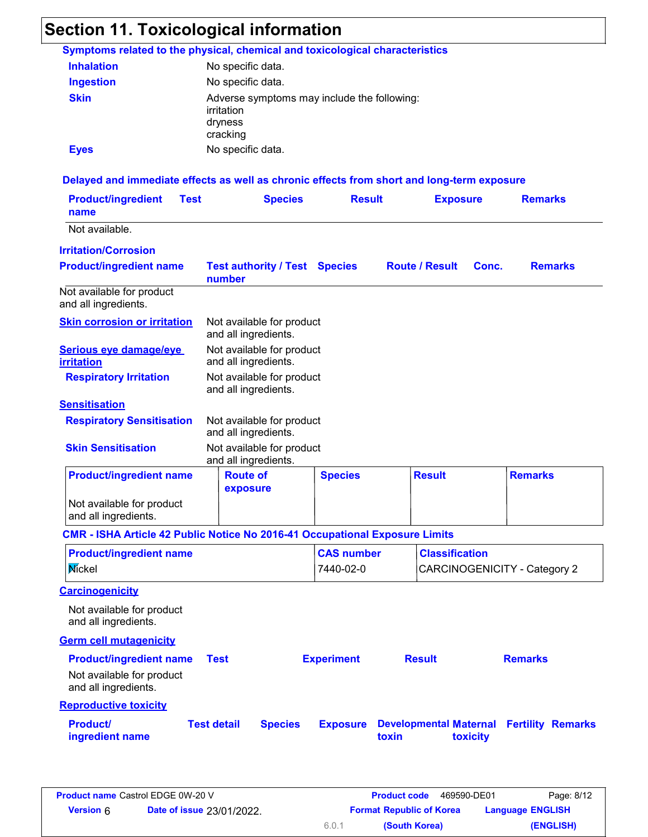# **Section 11. Toxicological information**

|                                                                                            | Symptoms related to the physical, chemical and toxicological characteristics     |                                |                       |                                     |                |
|--------------------------------------------------------------------------------------------|----------------------------------------------------------------------------------|--------------------------------|-----------------------|-------------------------------------|----------------|
| <b>Inhalation</b>                                                                          | No specific data.                                                                |                                |                       |                                     |                |
| <b>Ingestion</b>                                                                           | No specific data.                                                                |                                |                       |                                     |                |
| <b>Skin</b>                                                                                | Adverse symptoms may include the following:<br>irritation<br>dryness<br>cracking |                                |                       |                                     |                |
| <b>Eyes</b>                                                                                | No specific data.                                                                |                                |                       |                                     |                |
| Delayed and immediate effects as well as chronic effects from short and long-term exposure |                                                                                  |                                |                       |                                     |                |
| <b>Product/ingredient</b><br><b>Test</b><br>name                                           | <b>Species</b>                                                                   | <b>Result</b>                  | <b>Exposure</b>       |                                     | <b>Remarks</b> |
| Not available.                                                                             |                                                                                  |                                |                       |                                     |                |
| <b>Irritation/Corrosion</b>                                                                |                                                                                  |                                |                       |                                     |                |
| <b>Product/ingredient name</b>                                                             | <b>Test authority / Test Species</b><br>number                                   |                                | <b>Route / Result</b> | Conc.                               | <b>Remarks</b> |
| Not available for product<br>and all ingredients.                                          |                                                                                  |                                |                       |                                     |                |
| <b>Skin corrosion or irritation</b>                                                        | Not available for product<br>and all ingredients.                                |                                |                       |                                     |                |
| Serious eye damage/eye<br><b>irritation</b>                                                | Not available for product<br>and all ingredients.                                |                                |                       |                                     |                |
| <b>Respiratory Irritation</b>                                                              | Not available for product<br>and all ingredients.                                |                                |                       |                                     |                |
| <b>Sensitisation</b>                                                                       |                                                                                  |                                |                       |                                     |                |
| <b>Respiratory Sensitisation</b>                                                           | Not available for product<br>and all ingredients.                                |                                |                       |                                     |                |
| <b>Skin Sensitisation</b>                                                                  | Not available for product<br>and all ingredients.                                |                                |                       |                                     |                |
| <b>Product/ingredient name</b>                                                             | <b>Route of</b><br>exposure                                                      | <b>Species</b>                 | <b>Result</b>         | <b>Remarks</b>                      |                |
| Not available for product<br>and all ingredients.                                          |                                                                                  |                                |                       |                                     |                |
| CMR - ISHA Article 42 Public Notice No 2016-41 Occupational Exposure Limits                |                                                                                  |                                |                       |                                     |                |
| <b>Product/ingredient name</b><br>Mickel                                                   |                                                                                  | <b>CAS number</b><br>7440-02-0 | <b>Classification</b> | <b>CARCINOGENICITY - Category 2</b> |                |
| <b>Carcinogenicity</b>                                                                     |                                                                                  |                                |                       |                                     |                |
| Not available for product<br>and all ingredients.                                          |                                                                                  |                                |                       |                                     |                |
| <b>Germ cell mutagenicity</b>                                                              |                                                                                  |                                |                       |                                     |                |
| <b>Product/ingredient name</b>                                                             | <b>Test</b>                                                                      | <b>Experiment</b>              | <b>Result</b>         | <b>Remarks</b>                      |                |
| Not available for product                                                                  |                                                                                  |                                |                       |                                     |                |
| and all ingredients.                                                                       |                                                                                  |                                |                       |                                     |                |
| <b>Reproductive toxicity</b>                                                               |                                                                                  |                                |                       |                                     |                |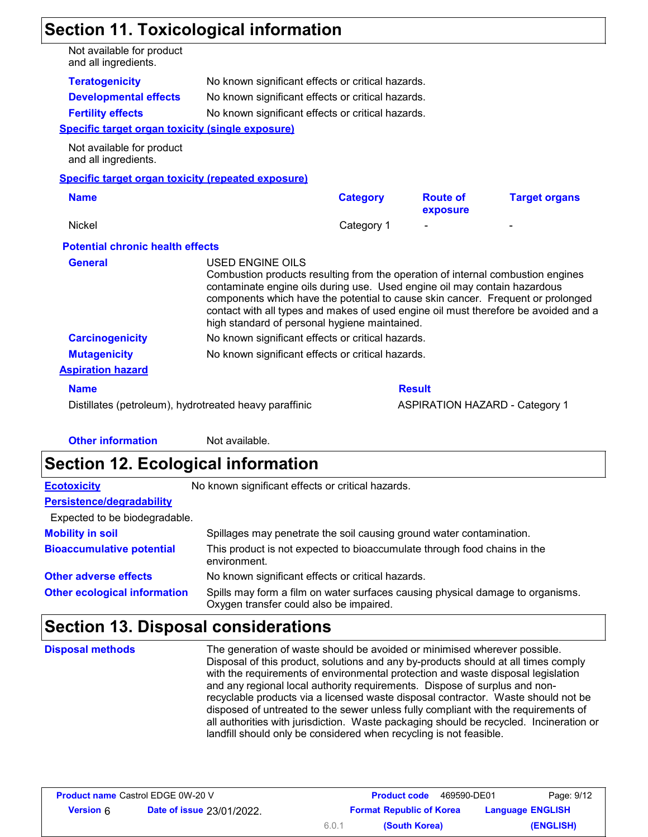# **Section 11. Toxicological information**

| Not available for product<br>and all ingredients.         |                                                                                                                                                                                         |                                                   |                             |                                                                                                                                                                        |  |  |  |
|-----------------------------------------------------------|-----------------------------------------------------------------------------------------------------------------------------------------------------------------------------------------|---------------------------------------------------|-----------------------------|------------------------------------------------------------------------------------------------------------------------------------------------------------------------|--|--|--|
| <b>Teratogenicity</b>                                     | No known significant effects or critical hazards.                                                                                                                                       |                                                   |                             |                                                                                                                                                                        |  |  |  |
| <b>Developmental effects</b>                              |                                                                                                                                                                                         | No known significant effects or critical hazards. |                             |                                                                                                                                                                        |  |  |  |
| <b>Fertility effects</b>                                  | No known significant effects or critical hazards.                                                                                                                                       |                                                   |                             |                                                                                                                                                                        |  |  |  |
| <b>Specific target organ toxicity (single exposure)</b>   |                                                                                                                                                                                         |                                                   |                             |                                                                                                                                                                        |  |  |  |
| Not available for product<br>and all ingredients.         |                                                                                                                                                                                         |                                                   |                             |                                                                                                                                                                        |  |  |  |
| <b>Specific target organ toxicity (repeated exposure)</b> |                                                                                                                                                                                         |                                                   |                             |                                                                                                                                                                        |  |  |  |
| <b>Name</b>                                               |                                                                                                                                                                                         | <b>Category</b>                                   | <b>Route of</b><br>exposure | <b>Target organs</b>                                                                                                                                                   |  |  |  |
| <b>Nickel</b>                                             |                                                                                                                                                                                         | Category 1                                        |                             |                                                                                                                                                                        |  |  |  |
| <b>Potential chronic health effects</b>                   |                                                                                                                                                                                         |                                                   |                             |                                                                                                                                                                        |  |  |  |
| <b>General</b>                                            | <b>USED ENGINE OILS</b><br>Combustion products resulting from the operation of internal combustion engines<br>contaminate engine oils during use. Used engine oil may contain hazardous |                                                   |                             |                                                                                                                                                                        |  |  |  |
|                                                           | high standard of personal hygiene maintained.                                                                                                                                           |                                                   |                             | components which have the potential to cause skin cancer. Frequent or prolonged<br>contact with all types and makes of used engine oil must therefore be avoided and a |  |  |  |
| <b>Carcinogenicity</b>                                    | No known significant effects or critical hazards.                                                                                                                                       |                                                   |                             |                                                                                                                                                                        |  |  |  |
| <b>Mutagenicity</b>                                       | No known significant effects or critical hazards.                                                                                                                                       |                                                   |                             |                                                                                                                                                                        |  |  |  |
| <b>Aspiration hazard</b>                                  |                                                                                                                                                                                         |                                                   |                             |                                                                                                                                                                        |  |  |  |
| <b>Name</b>                                               |                                                                                                                                                                                         |                                                   | <b>Result</b>               |                                                                                                                                                                        |  |  |  |

**Other information** Not available.

# **Section 12. Ecological information**

| <b>Ecotoxicity</b>                  | No known significant effects or critical hazards.                                                                         |
|-------------------------------------|---------------------------------------------------------------------------------------------------------------------------|
| Persistence/degradability           |                                                                                                                           |
| Expected to be biodegradable.       |                                                                                                                           |
| <b>Mobility in soil</b>             | Spillages may penetrate the soil causing ground water contamination.                                                      |
| <b>Bioaccumulative potential</b>    | This product is not expected to bioaccumulate through food chains in the<br>environment.                                  |
| <b>Other adverse effects</b>        | No known significant effects or critical hazards.                                                                         |
| <b>Other ecological information</b> | Spills may form a film on water surfaces causing physical damage to organisms.<br>Oxygen transfer could also be impaired. |

# **Section 13. Disposal considerations**

The generation of waste should be avoided or minimised wherever possible. Disposal of this product, solutions and any by-products should at all times comply with the requirements of environmental protection and waste disposal legislation and any regional local authority requirements. Dispose of surplus and nonrecyclable products via a licensed waste disposal contractor. Waste should not be disposed of untreated to the sewer unless fully compliant with the requirements of all authorities with jurisdiction. Waste packaging should be recycled. Incineration or landfill should only be considered when recycling is not feasible. **Disposal methods**

| <b>Product name Castrol EDGE 0W-20 V</b> |                                  |       | <b>Product code</b><br>469590-DE01 | Page: 9/12              |
|------------------------------------------|----------------------------------|-------|------------------------------------|-------------------------|
| <b>Version 6</b>                         | <b>Date of issue 23/01/2022.</b> |       | <b>Format Republic of Korea</b>    | <b>Language ENGLISH</b> |
|                                          |                                  | 6.0.1 | (South Korea)                      | (ENGLISH)               |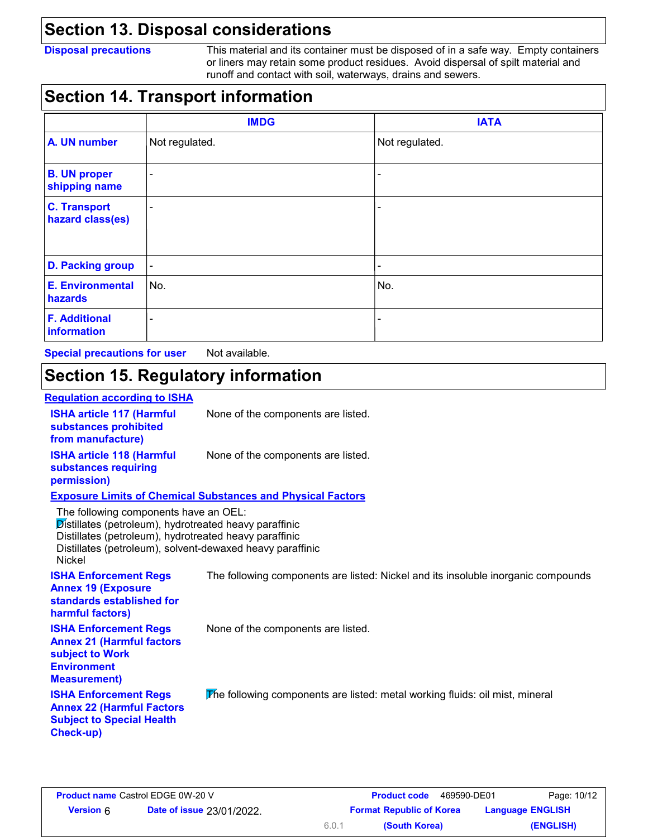### **Section 13. Disposal considerations**

**Disposal precautions** This material and its container must be disposed of in a safe way. Empty containers or liners may retain some product residues. Avoid dispersal of spilt material and runoff and contact with soil, waterways, drains and sewers.

### **Section 14. Transport information**

|                                         | <b>IMDG</b>    | <b>IATA</b>    |
|-----------------------------------------|----------------|----------------|
| A. UN number                            | Not regulated. | Not regulated. |
| <b>B. UN proper</b><br>shipping name    | $\blacksquare$ |                |
| <b>C. Transport</b><br>hazard class(es) | $\overline{a}$ |                |
| <b>D. Packing group</b>                 | $\blacksquare$ |                |
| <b>E. Environmental</b><br>hazards      | No.            | No.            |
| <b>F. Additional</b><br>information     | ۰              |                |

**Special precautions for user** Not available.

# **Section 15. Regulatory information**

#### **ISHA article 117 (Harmful** None of the components are listed. **substances prohibited from manufacture) ISHA article 118 (Harmful** None of the components are listed. **substances requiring permission) Regulation according to ISHA Exposure Limits of Chemical Substances and Physical Factors** Distillates (petroleum), hydrotreated heavy paraffinic Distillates (petroleum), hydrotreated heavy paraffinic Distillates (petroleum), solvent-dewaxed heavy paraffinic Nickel **ISHA Enforcement Regs Annex 19 (Exposure standards established for harmful factors) ISHA Enforcement Regs Annex 21 (Harmful factors subject to Work Environment Measurement) ISHA Enforcement Regs Annex 22 (Harmful Factors Subject to Special Health Check-up)** The following components are listed: Nickel and its insoluble inorganic compounds None of the components are listed. The following components are listed: metal working fluids: oil mist, mineral The following components have an OEL: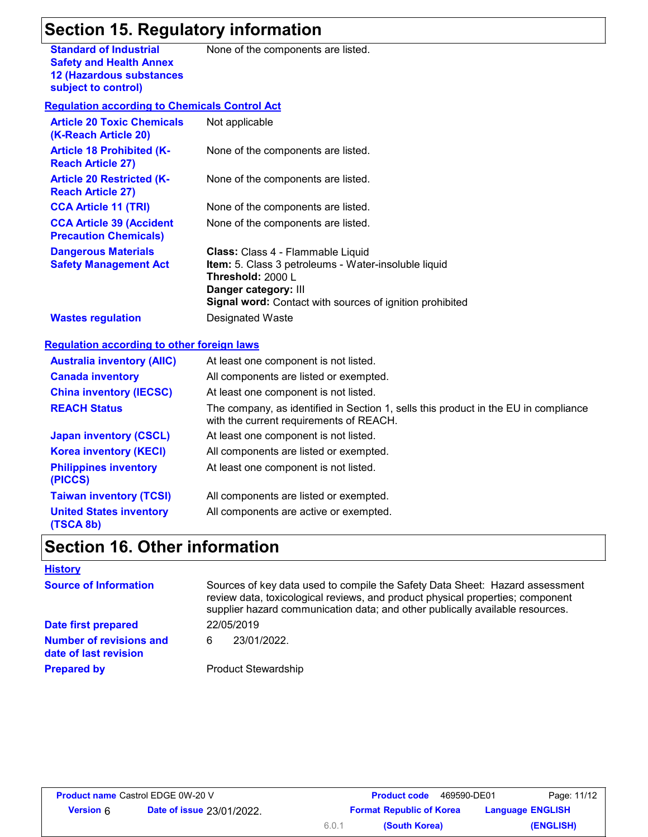# **Section 15. Regulatory information**

**Standard of Industrial Safety and Health Annex 12 (Hazardous substances subject to control)**

None of the components are listed.

#### **Regulation according to Chemicals Control Act**

| <b>Article 20 Toxic Chemicals</b><br>(K-Reach Article 20)       | Not applicable                                                                                                                                                                                                   |
|-----------------------------------------------------------------|------------------------------------------------------------------------------------------------------------------------------------------------------------------------------------------------------------------|
| <b>Article 18 Prohibited (K-</b><br><b>Reach Article 27)</b>    | None of the components are listed.                                                                                                                                                                               |
| <b>Article 20 Restricted (K-</b><br><b>Reach Article 27)</b>    | None of the components are listed.                                                                                                                                                                               |
| <b>CCA Article 11 (TRI)</b>                                     | None of the components are listed.                                                                                                                                                                               |
| <b>CCA Article 39 (Accident</b><br><b>Precaution Chemicals)</b> | None of the components are listed.                                                                                                                                                                               |
| <b>Dangerous Materials</b><br><b>Safety Management Act</b>      | <b>Class:</b> Class 4 - Flammable Liquid<br>Item: 5. Class 3 petroleums - Water-insoluble liquid<br>Threshold: 2000 L<br>Danger category: III<br><b>Signal word:</b> Contact with sources of ignition prohibited |
| <b>Wastes regulation</b>                                        | Designated Waste                                                                                                                                                                                                 |

#### **Regulation according to other foreign laws**

| <b>Australia inventory (AIIC)</b>           | At least one component is not listed.                                                                                          |
|---------------------------------------------|--------------------------------------------------------------------------------------------------------------------------------|
| <b>Canada inventory</b>                     | All components are listed or exempted.                                                                                         |
| <b>China inventory (IECSC)</b>              | At least one component is not listed.                                                                                          |
| <b>REACH Status</b>                         | The company, as identified in Section 1, sells this product in the EU in compliance<br>with the current requirements of REACH. |
| <b>Japan inventory (CSCL)</b>               | At least one component is not listed.                                                                                          |
| <b>Korea inventory (KECI)</b>               | All components are listed or exempted.                                                                                         |
| <b>Philippines inventory</b><br>(PICCS)     | At least one component is not listed.                                                                                          |
| <b>Taiwan inventory (TCSI)</b>              | All components are listed or exempted.                                                                                         |
| <b>United States inventory</b><br>(TSCA 8b) | All components are active or exempted.                                                                                         |

### **Section 16. Other information**

#### **History**

| <b>Source of Information</b>                            | Sources of key data used to compile the Safety Data Sheet: Hazard assessment<br>review data, toxicological reviews, and product physical properties; component<br>supplier hazard communication data; and other publically available resources. |
|---------------------------------------------------------|-------------------------------------------------------------------------------------------------------------------------------------------------------------------------------------------------------------------------------------------------|
| Date first prepared                                     | 22/05/2019                                                                                                                                                                                                                                      |
| <b>Number of revisions and</b><br>date of last revision | 23/01/2022.<br>6                                                                                                                                                                                                                                |
| <b>Prepared by</b>                                      | <b>Product Stewardship</b>                                                                                                                                                                                                                      |